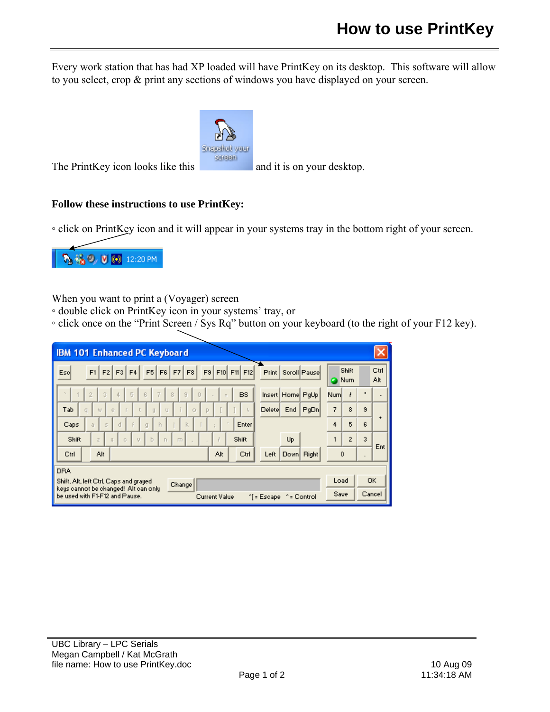Every work station that has had XP loaded will have PrintKey on its desktop. This software will allow to you select, crop & print any sections of windows you have displayed on your screen.



The PrintKey icon looks like this  $\frac{1}{2}$  and it is on your desktop.

## **Follow these instructions to use PrintKey:**

◦ click on PrintKey icon and it will appear in your systems tray in the bottom right of your screen.



When you want to print a (Voyager) screen

- double click on PrintKey icon in your systems' tray, or
- click once on the "Print Screen / Sys Rq" button on your keyboard (to the right of your F12 key).

| <b>IBM 101 Enhanced PC Keyboard</b>                                                                                                  |                   |                |                              |             |
|--------------------------------------------------------------------------------------------------------------------------------------|-------------------|----------------|------------------------------|-------------|
| $F5$ $F6$ $F7$ $F8$<br>F9 F10 F11 F12<br>$F1$ $F2$<br>F3<br>F4<br>Print  <br>Scroll Pause<br>Escl                                    | Shift<br>Num<br>o |                |                              | Ctrl<br>Alt |
| $\overline{3}$<br>$\overline{5}$<br>$\overline{2}$<br>ß<br>7<br>8<br>9<br><b>BS</b><br>Insert Home PqUp<br>$\Omega$<br>4<br>$\equiv$ | Num               | ł              | $\qquad \qquad \blacksquare$ |             |
| Delete<br>Tab<br>PgDn<br>End<br>e<br>$\circ$<br>W.<br>P<br>ų<br>U                                                                    | 7                 | 8              | 9                            |             |
| d<br>Enter<br>h<br>k.<br>Caps<br>$\leq$<br>ā<br>g                                                                                    | 4                 | 5              | 6                            |             |
| Shift<br>Up<br>Shift<br>Ь<br>$\overline{z}$<br>ō<br>$\Gamma$<br>X<br>$\Box$<br>U                                                     |                   | $\overline{c}$ | 3                            | Ent         |
| Alt<br>Alt<br>Ctrl<br>Down Right<br>Ctrl<br>Left                                                                                     | 0                 |                | ٠                            |             |
| <b>DRA</b>                                                                                                                           |                   |                |                              |             |
| Shift, Alt, left Ctrl, Caps and grayed<br>Change<br>keys cannot be changed! Alt can only                                             |                   | Load           |                              | <b>OK</b>   |
| be used with F1-F12 and Pause.<br><b>Current Value</b><br><sup>*</sup> [ = Escape<br>'= Control                                      |                   | Save           |                              | Cancel      |